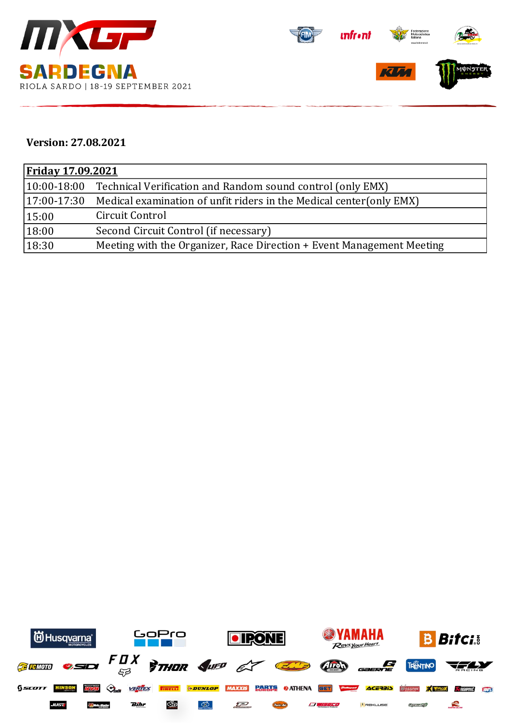



## **Version: 27.08.2021**

| <u>Friday 17.09.2021</u> |                                                                       |  |  |  |
|--------------------------|-----------------------------------------------------------------------|--|--|--|
| $ 10:00-18:00 $          | Technical Verification and Random sound control (only EMX)            |  |  |  |
| $ 17:00-17:30 $          | Medical examination of unfit riders in the Medical center (only EMX)  |  |  |  |
| 15:00                    | Circuit Control                                                       |  |  |  |
| 18:00                    | Second Circuit Control (if necessary)                                 |  |  |  |
| 18:30                    | Meeting with the Organizer, Race Direction + Event Management Meeting |  |  |  |

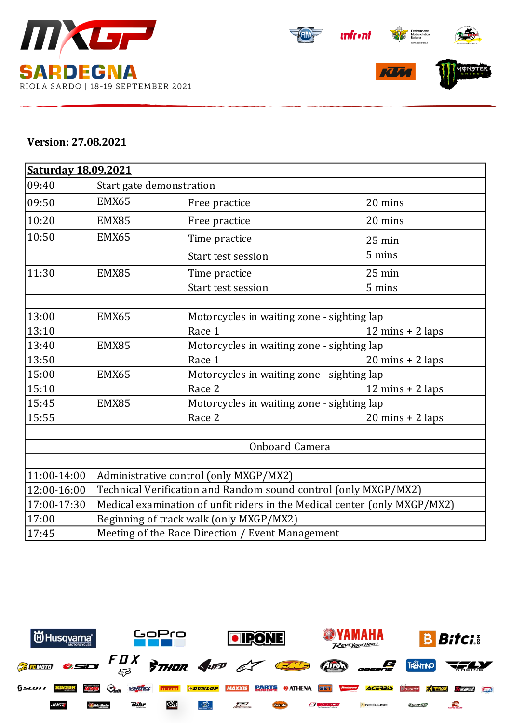



## **Version: 27.08.2021**

| Saturday 18.09.2021 |                                                                           |                                            |                                    |  |  |  |
|---------------------|---------------------------------------------------------------------------|--------------------------------------------|------------------------------------|--|--|--|
| 09:40               | Start gate demonstration                                                  |                                            |                                    |  |  |  |
| 09:50               | EMX65                                                                     | Free practice                              | 20 mins                            |  |  |  |
| 10:20               | EMX85                                                                     | Free practice                              | 20 mins                            |  |  |  |
| 10:50               | EMX65                                                                     | Time practice                              | 25 min                             |  |  |  |
|                     |                                                                           | Start test session                         | 5 mins                             |  |  |  |
| 11:30               | EMX85                                                                     | Time practice                              | $25$ min                           |  |  |  |
|                     |                                                                           | <b>Start test session</b>                  | 5 mins                             |  |  |  |
|                     |                                                                           |                                            |                                    |  |  |  |
| 13:00               | EMX65                                                                     | Motorcycles in waiting zone - sighting lap |                                    |  |  |  |
| 13:10               |                                                                           | Race 1                                     | $12 \text{ mins} + 2 \text{ laps}$ |  |  |  |
| 13:40               | EMX85                                                                     | Motorcycles in waiting zone - sighting lap |                                    |  |  |  |
| 13:50               |                                                                           | Race 1                                     | $20 \text{ mins} + 2 \text{ laps}$ |  |  |  |
| 15:00               | EMX65                                                                     | Motorcycles in waiting zone - sighting lap |                                    |  |  |  |
| 15:10               |                                                                           | Race 2                                     | $12 \text{ mins} + 2 \text{ laps}$ |  |  |  |
| 15:45               | EMX85                                                                     | Motorcycles in waiting zone - sighting lap |                                    |  |  |  |
| 15:55               |                                                                           | Race 2                                     | $20 \text{ mins} + 2 \text{ laps}$ |  |  |  |
|                     |                                                                           |                                            |                                    |  |  |  |
|                     | Onboard Camera                                                            |                                            |                                    |  |  |  |
|                     |                                                                           |                                            |                                    |  |  |  |
| 11:00-14:00         | Administrative control (only MXGP/MX2)                                    |                                            |                                    |  |  |  |
| 12:00-16:00         | Technical Verification and Random sound control (only MXGP/MX2)           |                                            |                                    |  |  |  |
| 17:00-17:30         | Medical examination of unfit riders in the Medical center (only MXGP/MX2) |                                            |                                    |  |  |  |
| 17:00               | Beginning of track walk (only MXGP/MX2)                                   |                                            |                                    |  |  |  |
| 17:45               | Meeting of the Race Direction / Event Management                          |                                            |                                    |  |  |  |